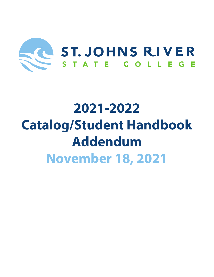

# **2021-2022 Catalog/Student Handbook Addendum November 18, 2021**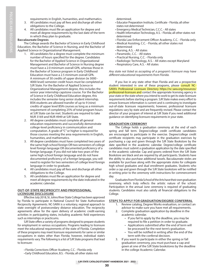requirements in English, humanities, and mathematics.

- 3. All candidates must pay all fees and discharge all other obligations to the College.
- 4. All candidates must file an application for degree and meet all degree requirements by the last date of the term in which they plan to graduate.

# **Baccalaureate Degrees**

The College awards the Bachelor of Science in Early Childhood Education, the Bachelor of Science in Nursing, and the Bachelor of Applied Science in Organizational Management.

- 1. All candidates for a degree must complete the minimum number of hours specified for the degree. Candidates for the Bachelor of Applied Science in Organizational Management and Bachelor of Science in Nursing degree must have a 2.0 minimum overall GPA, whereas those in the Bachelor of Science program in Early Childhood Education must have a 2.5 minimum overall GPA. A minimum of 30 credits of upper division (ie 3000 - 4000 level) semester credit hours must be completed at SJR State. For the Bachelor of Applied Science in Organizational Management degree, this includes the senior year internship capstone course. For the Bachelor of Science in Early Childhood Education degree, this includes the semester-long senior student internship. BSN students are allowed transfer of up to 9 (nine) credits of upper level BSN courses as long as a minimum requirement of completing 25% of total program hours at SJR State can be met. Students are required to take NUR 3169 and NUR 4949 at SJR State.
- 2. All degree candidates must complete all general education requirements and successfully demonstrate college-level proficiency in communication and computation. A grade of "C" or higher is required for those courses meeting the area requirements in English, humanities, and mathematics.
- 3. All degree candidates must have completed two years of the same high school foreign OR two semesters of college level foreign language OR documented proficiency of a foreign language. If you did not take two years of the same high school foreign language and do not have documented proficiency of a foreign language, you will need to register for two semesters of college level foreign language in order to graduate.
- 4. All candidates must pay all fees and discharge all other obligations to the College.
- 5. All candidates must file an application for degree and meet all degree requirements by the date indicated in the academic calendar.

#### **OUT-OF-STATE RECIPROCITY AND PROFESSIONAL LICENSURE DISCLOSURE**

Effective July 2018, St. Johns River State College has been approved by Florida to participate in National Council for State Authorization Reciprocity Agreements. NC-SARA is a voluntary, regional approach to state oversight of postsecondary distance education. The reciprocity agreements allow for the open delivery of academic credit-earning activities in participating states, including academic field experiences such as internships or practicums.

SJR State offers a variety of programs designed to prepare students for employment in various occupations. Programs leading to licensure meet the educational requirements of the state of Florida. Completion of these programs may meet licensure requirements for same or similar occupations in states other than Florida; however, individual state's requirements vary. The following is a list of SJR State programs that lead to licensure:

- Florida Corrections Officer Academy, C.C. Florida only
- Early Childhood Education, B.S. Florida; all other states not

determined.

- Educator Preparation Institute, Certificate Florida; all other states not determined
- Emergency Medical Technician, C.C.C. All states
- Health Information Technology, A.S. Florida; all other states not determined
- Florida Law Enforcement Officer Academy, C.C. Florida only
- Medical Assisting, C.C. Florida; all other states not
- determined
- Nursing, A.S. All states
- Paramedic, C.C. All states
- Practical Nursing, C.C. Florida only
- Radiologic Technology, A.S. All states except Maryland
- Respiratory Care, A.S. All states

*Any state not listed as accepting of a program's licensure may have different educational requirements from Florida.*

If you live in any state other than Florida and are a prospective student interested in one of these programs, please consult NC-SARA's Professional Licensure Directory https://nc-sara.org/resources/ professional-licensure and contact the appropriate licensing agency in your state or the state where you intend to work to get its state licensure requirements before starting a program. SJR State makes every effort to ensure licensure information is current and is continuing to investigate out-of-state licensure requirements; however, professional licensure regulations vary by state and are frequently revised. Please contact the director of your program of interest at SJR State if you need additional guidance on identifying licensure requirements in your state.

# **GRADUATION CEREMONY**

The College holds a graduation ceremony at the end of each spring and fall term. Degree/college credit certificate candidates are encouraged to participate in the exercise. Degree/college credit certificate recipients may participate in the graduation exercises by purchasing a cap and gown through the SJR State Bookstore by the date specified in the academic calendar. Degree/college certificate candidates must submit a graduation application by the date specified in the academic calendar. Cap and gowns ordered from the SJR State Bookstore are black and are required by all participants. Students have the ability to also purchase additional tassels. Baccalaureate stoles are available for purchase along with the appropriate stoles for collegiate high school graduates and dual enrollment graduates. Students who order a cap and gown through the SJR State bookstore will be notified in writing prior to the ceremony with instructions for commencement day.

Graduates from Florida School of the Arts have their own graduation ceremony, which truly reflects the artistic nature of the school. Participation in the annual June ceremony is required of graduating students. Candidates must also satisfy all financial obligations to the College.

#### **STEPS TO APPLY FOR GRADUATION/DEGREE CONFERRAL**

- 1. Review catalog, Degree Works evaluation, or contact an advisor to make sure you have met all requirements.
- 2. Complete graduation application by deadline in the academic calendar.
	- If you fail to apply by the deadline, you may be required to file a petition in order to graduate.
	- Applications submitted after the end of term will be processed for the next term's graduation.
	- You will be notified in writing after the end of the term with the conferral decision.
- 3. If you want to participate in either the spring or fall graduation ceremony, you must purchase a cap and gown at one of the SJR State bookstores by the deadline in the college Academic Calendar.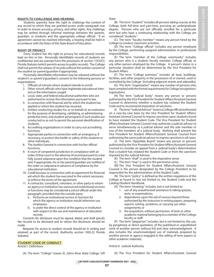# **RIGHTS TO CHALLENGE AND HEARING**

Students (parents) have the right to challenge the content of any record to which they are granted access under paragraph one in order to ensure accuracy, privacy, and other rights. Any challenge may be settled through informal meetings between the parents, guardian, or students and the appropriate college official. If an agreement cannot be reached informally, a hearing shall be held in accordance with the Rules of the State Board of Education.

#### **RIGHT OF PRIVACY**

Every student has the right to privacy for educational records kept on him or her. Personally identifiable records of students are confidential and are exempt from the provisions of section 119.07(1) Florida Statutes (which permits access to public records). The College shall not permit the release of records without the written consent of the student (or parent/guardian if appropriate).

Personally identifiable information may be released without the student's or parent's/guardian's consent to the following persons or organizations:

- 1. Officials of schools where student intends to enroll.
- 2. Other school officials who have legitimate educational inter ests in the information sought.
- 3. Local, state, and federal educational authorities who are authorized to receive the information pursuant to law.
- 4. In connection with financial aid for which the student has applied or which the student has received.
- 5. Entities conducting studies for, or on behalf of, an institution for the purpose of developing, validating, or administering predictive tests, and student aid programs if such studies are conducted so as not to permit the personal identification of students.
- 6. Accrediting organizations in order to carry out accrediting functions.
- 7. Appropriate parties in connection with an emergency, if necessary, to protect the health or safety of the students or other individuals.
- 8. The Auditor General in connection with his/her official functions.
- 9. A court of competent jurisdiction in compliance with an order of that court or the attorney of record pursuant to a law fully issued subpoena upon the condition that the student and, if appropriate, his or her parent/guardian are notified of the order or subpoena in advance of compliance by the educational institution.
- 10. Credit bureaus in connection with an agreement for financial aid which the student has executed to the extent necessary to enforce the terms of the agreement.
- 11. A contractor, consultant, volunteer, or other party to whom an agency or institution has outsourced institutional services or functions may be considered a school official under this paragraph, provided that the outside party:
	- a. Performs an institutional service or function for which the agency or institution would otherwise use employees.
	- b. Is under the direct control of the agency or institution with respect to the use and maintenance of education records.

Consents for disclosure must be signed, dated, and shall specify the records to be disclosed and to whom the disclosure should be made.

Requests for access to student records should be in writing and retained as part of the record. (Authority section 1002.22 Florida Statutes)

## **STUDENT CODE OF CONDUCT**

Article I: Definitions

(A) The term "College" means St. Johns River State College, SJR

State.

(B) The term "student" includes all persons taking courses at the College, both full-time and part-time, pursuing an undergraduate degree. Persons who are not officially enrolled for a particular term but who have a continuing relationship with the College are considered "students."

(C) The term "faculty member" means any person hired by the College to conduct classroom activities.

(D) The term "College official" includes any person employed by the College, performing assigned administrative or professional responsibilities.

(E) The term "member of the College community" includes any person who is a student, faculty member, College official, or any other person employed by the College. A person's status in a particular situation shall be determined by the Vice President for Student Affairs.

(F) The term "College premises" includes all land, buildings, facilities, and other property in the possession of or owned, used or controlled by the College (including adjacent streets and sidewalks).

(G) The term "organization" means any number of persons who have complied with the formal requirements for College (recognition/ registration).

(H) The term "judicial body" means any person or persons authorized by the Vice President for Student Affairs/Assistant General Counsel to determine whether a student has violated the Student Code and to recommend imposition of sanctions.

(I) The term "Judicial Advisor" means a College official authorized on a case-by-case basis by the Vice President for Student Affairs/ Assistant General Counsel to impose sanctions upon students found to have violated the Student Code. The Vice President for Student Affairs/Assistant General Counsel may authorize a judicial advisor to serve simultaneously as a judicial advisor and the sole member or one of the members of a judicial body. Nothing shall prevent the Vice President for Student Affairs/Assistant General Counsel from authorizing the same judicial advisor to impose sanctions in all cases.

(J) The term "Appellate Board" means any person or persons authorized by the Vice President for Student Affairs/Assistant General Counsel to consider an appeal from a judicial body's determination that a student has violated the Student Code or from the sanctions imposed by the Judicial Advisor.

- (K) The term "shall" is used in the imperative sense.
- (L) The term "may" is used in the permissive sense.

(M) The Vice President for Student Affairs/Assistant General Counsel is the person designated by the College President to be responsible for the administration of the Student Code.

(N) The term "policy" is defined as the written regulations of the College as found in, but not limited to, the Student Code and the Catalog/Student Handbook.

- (O) The term "cheating" includes, but is not limited to:
	- 1. use of any unauthorized assistance in taking quizzes, tests, or examinations;
	- 2. dependence upon the aid of sources beyond those authorized by the instructor in writing papers, preparing reports, solving problems, or carrying out other assignments; or
	- 3. the acquisition, without permission, of tests or other academic material belonging to a member of the College faculty or staff.

(P) The term "plagiarism" includes, but is not limited to, the use, by paraphrase or direct quotation, of the published or unpublished work of another person without full and clear acknowledgment. It also includes the unacknowledged use of materials prepared by another person or agency engaged in the selling of term papers or other academic materials.

#### Article II: Judicial Authority

(A) The Vice President for Student Affairs/Assistant General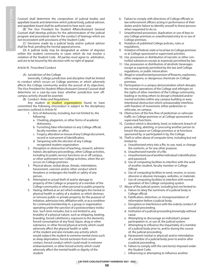Counsel shall determine the composition of judicial bodies and appellate boards and determine which judicial body, judicial advisor, and appellate board shall be authorized to hear each case.

(B) The Vice President for Student Affairs/Assistant General Counsel shall develop policies for the administration of the judicial program and procedural rules for the conduct of hearings which are not inconsistent with provisions of the Student Code.

(C) Decisions made by a judicial body and/or judicial advisor shall be final, pending the normal appeal process.

(D) A judicial body may be designated as arbiter of disputes within the student community in cases which do not involve a violation of the Student Code. All parties must agree to arbitration, and are to be bound by the decision with no right of appeal.

# Article III: Proscribed Conduct

(A) Jurisdiction of the College

 Generally, College jurisdiction and discipline shall be limited to conduct which occurs on College premises or which adversely affects the College community and/or the pursuit of its objectives. The Vice President for Student Affairs/Assistant General Counsel shall determine on a case-by-case basis whether jurisdiction over offcampus activity should be asserted.

(B) Conduct--Rules and Regulations

Any student or student organizations found to have committed the following misconduct is subject to the disciplinary sanctions outlined in Article IV:

- 1. Acts of dishonesty, including, but not limited to, the following:
	- a. Cheating, plagiarism, or other forms of academic dishonesty.
	- b. Furnishing false information to any College official, faculty member, or office.
	- c. Forgery, alteration or misuse of any College document, record or instrument of identification.
	- d. Tampering with the election of any College recognized student organization.
- 2. Disruption or obstruction of teaching, research, adminis tration, disciplinary proceedings, other College activities, including its public-service functions on or off campus, or other authorized non-College activities, when the act occurs on College premises.
- 3. Physical abuse, verbal abuse, threats, intimidation, harassment, coercion and/or other conduct which threatens or endangers the health or safety of any person.
- 4. Attempted or actual theft of and/or damage to property of the College or property of a member of the College community or other personal or public property.
- 5. Hazing, defined as an act which endangers the mental or physical health or safety of a student, or which destroys or removes public or private property, for the purpose of initiation, admission into, affiliation with, or as a condition for continued membership in, a group or organization operating under the sanction of a postsecondary institu tion. Such term includes, but is not limited to, any brutality of a physical nature, such as whipping, beating, branding, forced calisthenics, exposure to the elements, forced consumption of any food, liquor, drug or other substance, or other forced physical activity which could adversely affect the physical health or safet of the student and also includes any activity which would subject the student to extreme mental stress such as sleep deprivation, forced exclusion from social contact, forced conduct which could result in extreme embarrassment, or other forced activity which could adversely affect the mental health or dignity of the student.
- 6. Failure to comply with directions of College officials or law enforcement officers acting in performance of their duties and/or failure to identify oneself to these persons when requested to do so.
- 7. Unauthorized possession, duplication or use of keys to any College premises or unauthorized entry to or use of College premises.
- 8. Violation of published College policies, rules or regulations.
- 9. Violation of federal, state or local law on College premises or at College sponsored or supervised activities.
- 10. Use, possession or distribution of narcotic or other con trolled substances except as expressly permitted by law.
- 11. Use, possession or distribution of alcoholic beverages except as expressly permitted by the law and College regulations, or public intoxication.
- 12. Illegal or unauthorized possession of firearms, explosives, other weapons, or dangerous chemicals on College premises.
- 13. Participation in a campus demonstration which disrupts the normal operations of the College and infringes on the rights of other members of the College community; leading or inciting others to disrupt scheduled and/or normal activities within any campus building or area; intentional obstruction which unreasonably interferes with freedom of movement, either pedestrian or vehicular, on campus.
- 14. Obstruction of the free flow of pedestrian or vehicular traffic on College premises or at College sponsored or supervised functions.
- 15. Conduct which is disorderly, lewd, or indecent; breach of peace; aiding, abetting, or procuring another person to breach the peace on College premises or at functions sponsored by, or participated in by, the College.
- 16. Theft or other abuse of computer time, including but not limited to:
	- a. Unauthorized entry into a file, to use, read, or change the contents, or for any other purpose.
	- b. Unauthorized transfer of a file.
	- c. Unauthorized use of another individual's identification and password.
	- d. Use of computing facilities to interfere with the work of another student, faculty member or College Official.
	- e. Use of computing facilities to send, receive, or access obscene or abusive messages, websites, or materials.
	- f. Use of computing facilities to interfere with normal operation of the College computing system.
- 17. Abuse of the judicial system, including but not limited to: a. Failure to obey the summons of a judicial body or
	- College official. b. Falsification, distortion, or misrepresentation of
	- information before a judicial body.
	- c. Disruption or interference with the orderly conduct of a judicial proceeding.
	- d. Institution of a judicial proceeding knowingly without cause.
	- e. Attempting to discourage an individual's proper participation in, or use of, the judicial system.
	- f. Attempting to influence the impartiality of a member of a judicial body prior to, and/or during the course of, the judicial proceeding.
	- g. Harassment (verbal or physical) and/or intimidation of a member of a judicial body prior to and/or after a judicial proceeding.
	- h. Failure to comply with the sanction(s) imposed under the Student Code.
	- i. Influencing or attempting to influence another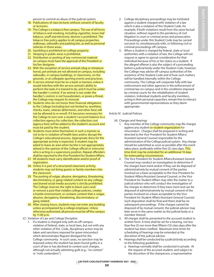person to commit an abuse of the judicial system.

- 18. Publications of class lectures without consent of faculty or lecturers.
- 19. The College is a tobacco free campus. The use of all forms of tobacco and smoking, including cigarettes, loose-leaf tobacco, snuff and electronic devices is prohibited. The tobacco free policy applies to all campus properties, walkways, sidewalks and parking lots, as well as personal vehicles in these areas.
- 20. Gambling is prohibited on college property.
- 21. Sleeping in public areas is prohibited.
- 22. Distribution or posting of any commercial material on campus must have the approval of the President or his/her designee.
- 23. With the exception of service animals (dog or miniature horse), pet animals are not allowed on campus, including sidewalks, in campus buildings, in classrooms, on the grounds, or at collegiate sporting events and practices.
- 24. A service animal must be on a leash or harness unless it would interfere with the service animal's ability to perform the tasks it is trained to do, and it must be under the handler's control. If an animal is not under the handler's control, is not housebroken, or poses a threat, the College may request its removal.
- 25. Students who do not honor their financial obligations to the College (including but not limited to, worthless checks, loans, veteran deferments, and other fees) will not be allowed to re-enroll. If it becomes necessary for the College to turn over a student's account balance to a collection agency for collection, the collection cost (agency fees) will be added to the student's account and must be paid by the student.
- 26. Students must attire themselves in such a manner as not to be in violation of health laws and/or disrupt the College's educational process. Appropriate dress for the appropriate activity is expected. A student may be asked to leave an area when he/she is not appropriately attired in the opinion of the College official or instructor who is acting in a supervisory position. Repeat offenders shall be reported to the Vice President for Student Affairs.
- 27. All students must carry identification and/or proof of registration.
- 28. Unless it is part of a structured classroom activity, students may not bring guests or family members into the classroom.
- 29. The posting of vulgar, abusive, derogatory, threatening, discriminatory, or gang-related content on any college sanctioned social media accounts is strictly prohibited. The College reserves the right to block users and/ or remove a post that violates college policies, creates a hostile environment, or contains content that is vulgar, abusive, derogatory, threatening, discriminatory, or gang related.
- 30. After closing hours, students may not enter any building unless accompanied by a college employee. Unless otherwise authorized, all persons must be off the campus by 11:00 p.m.
- (C) Violation of Law and College Discipline
	- 1. If a student is charged only with an off-campus violation of federal, state, or local laws, but not with any other violation of this Code, disciplinary action may be taken and sanctions imposed for grave misconduct which demonstrates flagrant disregard for the College community. In such cases, no sanction may be imposed unless the student has been found guilty in a court of law or has declined to contest such charges, although not actually admitting guilt (e.g., "no contest" or "nolo contendere").
- 2. College disciplinary proceedings may be instituted against a student charged with violation of a law which is also a violation of this Student Code, for example, if both violations result from the same factual situation, without regard to the pendency of civil litigation in court or criminal arrest and prosecution. Proceedings under this Student Code may be carried out prior to, simultaneously with, or following civil or criminal proceedings off-campus.
- 3. When a student is charged by federal, state or local authorities with a violation of law, the College will not request or agree to special consideration for that individual because of his or her status as a student. If the alleged offense is also the subject of a proceeding before a judicial body under the Student Code, however, the College may advise off-campus authorities of the existence of the Student Code and of how such matters will be handled internally within the College community. The College will cooperate fully with law enforcement and other agencies in the enforcement of criminal law on campus and in the conditions imposed by criminal courts for the rehabilitation of student violators. Individual students and faculty members, acting in their personal capacities, remain free to interact with governmental representatives as they deem appropriate.

#### Article IV: Judicial Policies

- (A) Charges and Hearings
	- 1. Any member of the College community may file charges against any student or student organization for misconduct. Charges shall be prepared in writing and directed to the Vice President for Student Affairs/ Assistant General Counsel responsible for the administration of the College judicial system. Any charge should be submitted as soon as possible after the event takes place, preferably within five (5) class days. This time limit may be extended for an additional 10 days for extenuating circumstances.
	- 2. The Vice President for Student Affairs/Assistant General Counsel may conduct an investigation to determine if the charges have merit and/or if they can be disposed of administratively by mutual consent of the parties involved on a basis acceptable to the Vice President for Student Affairs/Assistant General Counsel, or the Vice President for Student Affairs may refer the matter to a judicial advisor who will conduct the investigation of the charges to determine if they have merit and can be disposed of administratively by mutual consent of the parties involved on a basis acceptable to the Vice President for Student Affairs/Assistant General Counsel. Such disposition shall be final and there shall be no subsequent proceedings. If the charges cannot be disposed of by mutual consent, the judicial advisor may later serve in the same matter as the judicial body or a member thereof.
	- 3. All charges shall be presented to the accused student in written form. A time shall be set for a hearing, not less than five (5) nor more than fifteen (15) class days after the student has been notified. Maximum time limits for scheduling of hearings may be extended at the discretion of the judicial advisor.
	- 4. Hearings shall be conducted by a judicial body according to the following guidelines:
		- a. Hearings normally shall be conducted in private. At the request of the accused student, and subject to the discretion of the chairperson, a representative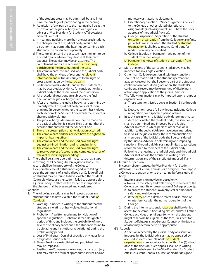of the student press may be admitted, but shall not have the privilege of participating in the hearing.

- b. Admission of any person to the hearing shall be at the discretion of the judicial body and/or its judicial advisor or Vice President for Student Affairs/Assistant General Counsel.
- c. In hearings involving more than one accused student, the chairperson of the judicial body, in his or he discretion, may permit the hearings concerning each student to be conducted separately.
- d. The complainant and the accused have the right to be assisted by any advisor they choose at their own expense. The advisor may be an attorney. The complainant and/or the accused or advisor may participate in the presentation of the case.
- e. The complainant, the accused, and the judicial body shall have the privilege of presenting relevant information and witnesses, subject to the right of cross examination by the participants.
- f. Pertinent records, exhibits, and written statements may be accepted as evidence for consideration by a judicial body at the discretion of the chairperson.
- g. All procedural questions are subject to the final decision of the judicial body chairperson.
- h. After the hearing, the judicial body shall determine by majority vote if the judicial body consists of more than one (1) person whether the student has violated each section of the Student Code which the student is charged with violating.
- i. The judicial body's determination shall be made on the basis of whether it is more likely than not that the accused student violated the Student Code.
- j. There is a presumption that no violation occurred.
- k. The complainant and the accused have the right to an impartial hearing officer.
- l. The complainant and the accused have the right against self-incrimination and to remain silent.
- m. The complainant and the accused have the right to receive copies of accurate and complete records of relevant disciplinary proceedings.
- 5. There shall be a single verbatim record, such as a tape recording, of all hearings before a judicial body. The record shall be the property of the College.
- 6. Except in the case of a student charged with failing to obey the summons of a judicial body or College official, no student may be found to have violated the Student Code solely because the student failed to appear before a judicial body. In all cases the evidence in support of the charges shall be presented and considered.
- (B) Sanctions
	- 1. The following sanctions may be imposed upon any student found to have violated the Student Code of Conduct:
		- a. Warning--A notice in writing to the student that the student is violating or has violated institutional regulations.
		- b. Probation--A written reprimand for violation of specified regulations. Probation is for a designated period of time and includes the probability of more severe disciplinary sanctions if the student is found to be violating any institutional regulation(s) during the probationary period.
		- c. Loss of Privileges--Denial of specified privileges for a designated period of time.
		- d. Fines--Previously established and published fines may be imposed.
		- e. Restitution--Compensation for loss, damage or injury. This may take the form of appropriate service and/or

monetary or material replacement.

- f. Discretionary Sanctions--Work assignments, service to the College or other related discretionary assignments (such assignments must have the prior approval of the Judicial Advisor).
- g. College Suspension--Separation of the student or student organization from the College for a definite period of time after which the student or student organization is eligible to return. Conditions for readmission may be specified.
- h. College Expulsion--Permanent separation of the student from the College.
- i. Permanent removal of student organization from College.
- 2. More than one of the sanctions listed above may be imposed for any single violation.
- 3. Other than College expulsion, disciplinary sanctions shall not be made part of the student's permanent academic record, but shall become part of the student's confidential record. Upon graduation, the student's confidential record may be expunged of disciplinary actions upon application to the judicial advisor.
- 4. The following sanctions may be imposed upon groups or organizations:
- a. Those sanctions listed above in Section B1, a through e.
	- b. Deactivation--Loss of all privileges, including College recognition, for a specified period of time.
	- 5. In each case in which a judicial body determines that a student has violated the Student Code, the sanction(s) shall be determined and imposed by the Judicial Advisor. In cases in which persons other than or in addition to the Judicial Advisor have been authorized to serve as the judicial body, the recommendation of all members of the judicial body shall be considered by the Judicial Advisor in determining and imposing sanctions. The Judicial Advisor is not limited to sanctions recommended by members of the judicial body. Following the hearing, the judicial body and the Judicial Advisor shall advise the accused in writing of its determination and of the sanction(s) imposed, if any.
	- (C) Interim Suspension

 In certain circumstances, the Vice President for Studen Affairs/Assistant General Counsel, or a designee, may impose a College suspension prior to the hearing before a judicial body.

- 1. Interim suspension may be imposed only: a. to ensure the safety and well-being of members of the College community or preservation of College property;
	- b. to ensure the student's own physical or emotional safety and well-being; or
	- c. if the party poses a definite threat of disruption of or interference with the normal operations of the College.
- 2. During the interim suspension, parties shall be denied access to the campus (including classes) and/or all other College activities or privileges for which the student might otherwise be eligible, as the Vice-President for Student Affairs/Assistant General Counsel or the judicial advisor may determine to be appropriate.
- (D) Appeals
	- 1. A decision reached by the judicial body or a sanction imposed by the judicial advisor may be appealed by accused students, complainants or student organizations to an appellate board within five (5) school days of the decision. Such appeals shall be in writing and shall be delivered to the Vice President for Student Affairs/Assistant General Counsel or his/her designee.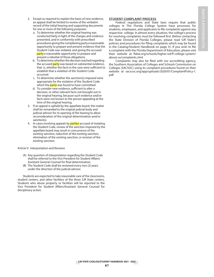- 2. Except as required to explain the basis of new evidence, an appeal shall be limited to review of the verbatim record of the initial hearing and supporting documents for one or more of the following purposes:
	- a. To determine whether the original hearing was conducted fairly in light of the charges and evidence presented, and in conformity with prescribed procedures giving the complaining party a reasonable opportunity to prepare and present evidence that the Student Code was violated, and giving the accused party a reasonable opportunity to prepare and present a rebuttal of those allegations.
	- b. To determine whether the decision reached regarding the accused party was based on substantial evidence. that is, whether the facts in the case were sufficient to establish that a violation of the Student Code occurred.
	- c. To determine whether the sanction(s) imposed were appropriate for the violation of the Student Code which the party was found to have committed.
	- d. To consider new evidence, sufficient to alter a decision, or other relevant facts not brought out in the original hearing, because such evidence and/or facts were not known to the person appealing at the time of the original hearing.
- 3. If an appeal is upheld by the appellate board, the matter shall be remanded to the original judicial body and judicial advisor for re-opening of the hearing to allow reconsideration of the original determination and/or sanction(s).
- 4. In cases involving appeals by **parties** accused of violating the Student Code, review of the sanction imposed by the appellate board may result in concurrence of the existing sanction, reduction of the existing sanction, elimination of the existing sanction, or revision of the existing sanction.

Article V: Interpretation and Revision

- (A) Any question of interpretation regarding the Student Code shall be referred to the Vice President for Student Affairs/ Assistant General Counsel for final determination.
- (B) The Student Code shall be reviewed every two (2) years under the direction of the judicial advisor.

Students are expected to take reasonable care of the classrooms, student centers, and other facilities of the three SJR State centers. Students who abuse property or facilities will be reported to the Vice President for Student Affairs/Assistant General Counsel for disciplinary action.

# **STUDENT COMPLAINT PROCESS**

Federal regulations and State laws require that public colleges in The Florida College System have processes for students, employees, and applicants to file complaints against any respective college. In almost every situation, the college's process for resolving complaints must be followed first. Before contacting the State Division of Florida Colleges, please read SJR State's policies and procedures for filing complaints which may be found in the Catalog/Student Handbook on page 31. If you wish to file a complaint with the Florida Department of Education, please visit their website at fldoe.org/schools/higher-ed/fl-college-system/ about-us/complaints.stml.

Complaints may also be filed with our accrediting agency, the Southern Association of Colleges and Schools Commission on Colleges (SACSOC) using its complaint procedures found on their website at sacscoc.org/app/uploads/2020/01/ComplaintPolicy-1. pdf.